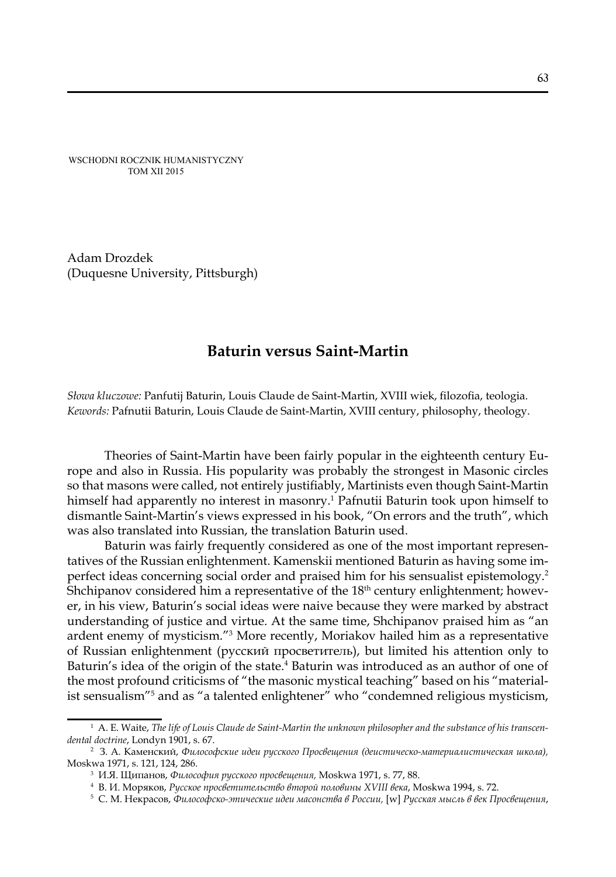WSCHODNI ROCZNIK HUMANISTYCZNY TOM XII 2015

Adam Drozdek (Duquesne University, Pittsburgh)

# **Baturin versus Saint-Martin**

*Słowa kluczowe:* Panfutij Baturin, Louis Claude de Saint-Martin, XVIII wiek, filozofia, teologia. *Kewords:* Pafnutii Baturin, Louis Claude de Saint-Martin, XVIII century, philosophy, theology.

Theories of Saint-Martin have been fairly popular in the eighteenth century Europe and also in Russia. His popularity was probably the strongest in Masonic circles so that masons were called, not entirely justifiably, Martinists even though Saint-Martin himself had apparently no interest in masonry.1 Pafnutii Baturin took upon himself to dismantle Saint-Martin's views expressed in his book, "On errors and the truth", which was also translated into Russian, the translation Baturin used.

Baturin was fairly frequently considered as one of the most important representatives of the Russian enlightenment. Kamenskii mentioned Baturin as having some imperfect ideas concerning social order and praised him for his sensualist epistemology.2 Shchipanov considered him a representative of the  $18<sup>th</sup>$  century enlightenment; however, in his view, Baturin's social ideas were naive because they were marked by abstract understanding of justice and virtue. At the same time, Shchipanov praised him as "an ardent enemy of mysticism."<sup>3</sup> More recently, Moriakov hailed him as a representative of Russian enlightenment (русский просветитель), but limited his attention only to Baturin's idea of the origin of the state.<sup>4</sup> Baturin was introduced as an author of one of the most profound criticisms of "the masonic mystical teaching" based on his "materialist sensualism"5 and as "a talented enlightener" who "condemned religious mysticism,

<sup>1</sup> A. E. Waite, *The life of Louis Claude de Saint-Martin the unknown philosopher and the substance of his transcendental doctrine*, Londyn 1901, s. 67.

<sup>2</sup> З. А. Каменский, *Философские идеи русского Просвещения (деистическо-материалистическая школа),* Moskwa 1971, s. 121, 124, 286.

<sup>3</sup> И.Я. Щипанов, *Философия русского просвещения,* Moskwa 1971, s. 77, 88.

<sup>4</sup> В. И. Моряков, *Русское просветительство второй половины XVIII века*, Moskwa 1994, s. 72. 5

С. М. Некрасов, *Философско-этические идеи масонства в России,* [w] *Русская мысль в век Просвещения*,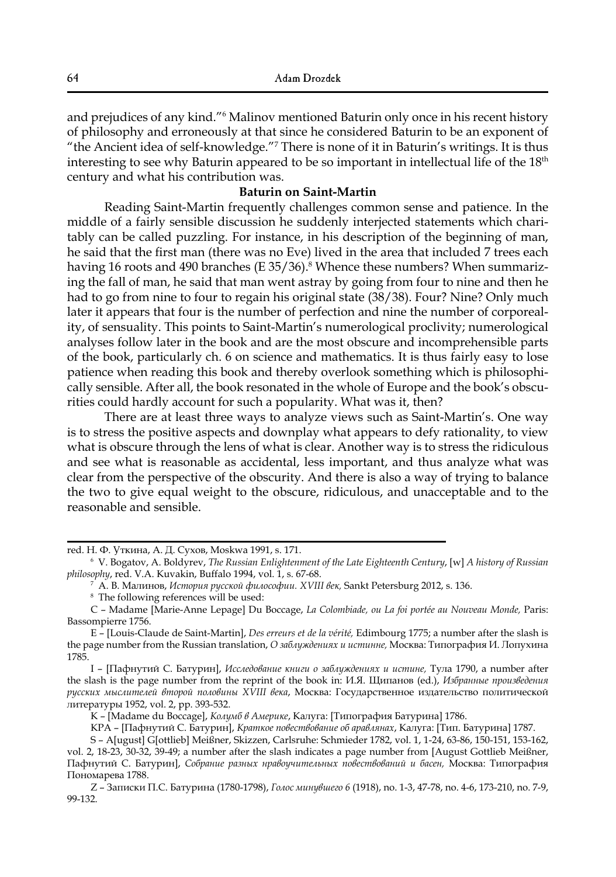and prejudices of any kind."6 Malinov mentioned Baturin only once in his recent history of philosophy and erroneously at that since he considered Baturin to be an exponent of "the Ancient idea of self-knowledge."7 There is none of it in Baturin's writings. It is thus interesting to see why Baturin appeared to be so important in intellectual life of the  $18<sup>th</sup>$ century and what his contribution was.

## **Baturin on Saint-Martin**

Reading Saint-Martin frequently challenges common sense and patience. In the middle of a fairly sensible discussion he suddenly interjected statements which charitably can be called puzzling. For instance, in his description of the beginning of man, he said that the first man (there was no Eve) lived in the area that included 7 trees each having 16 roots and 490 branches (E 35/36). $^{\rm 8}$  Whence these numbers? When summarizing the fall of man, he said that man went astray by going from four to nine and then he had to go from nine to four to regain his original state (38/38). Four? Nine? Only much later it appears that four is the number of perfection and nine the number of corporeality, of sensuality. This points to Saint-Martin's numerological proclivity; numerological analyses follow later in the book and are the most obscure and incomprehensible parts of the book, particularly ch. 6 on science and mathematics. It is thus fairly easy to lose patience when reading this book and thereby overlook something which is philosophically sensible. After all, the book resonated in the whole of Europe and the book's obscurities could hardly account for such a popularity. What was it, then?

There are at least three ways to analyze views such as Saint-Martin's. One way is to stress the positive aspects and downplay what appears to defy rationality, to view what is obscure through the lens of what is clear. Another way is to stress the ridiculous and see what is reasonable as accidental, less important, and thus analyze what was clear from the perspective of the obscurity. And there is also a way of trying to balance the two to give equal weight to the obscure, ridiculous, and unacceptable and to the reasonable and sensible.

red. Н. Ф. Уткина, А. Д. Сухов, Moskwa 1991, s. 171.

<sup>6</sup> V. Bogatov, A. Boldyrev, *The Russian Enlightenment of the Late Eighteenth Century*, [w] *A history of Russian philosophy*, red. V.A. Kuvakin, Buffalo 1994, vol. 1, s. 67-68.

<sup>7</sup> А. В. Малинов, *История русской философии. XVIII век,* Sankt Petersburg 2012, s. 136.

<sup>8</sup> The following references will be used:

C – Madame [Marie-Anne Lepage] Du Boccage, *La Colombiade, ou La foi portée au Nouveau Monde,* Paris: Bassompierre 1756.

E – [Louis-Claude de Saint-Martin], *Des erreurs et de la vérité,* Edimbourg 1775; a number after the slash is the page number from the Russian translation, *О заблуждениях и истинне,* Москва: Типография И. Лопухина 1785.

I – [Пафнутий С. Батурин], *Исследование книги о заблуждениях и истине,* Тула 1790, a number after the slash is the page number from the reprint of the book in: И.Я. Щипанов (ed.), *Избранные произведения русских мыслителей второй половины XVIII века*, Москва: Государственное издательство политической литературы 1952, vol. 2, pp. 393-532.

K – [Madame du Boccage], *Колумб в Америке*, Калуга: [Типография Батурина] 1786.

KPA – [Пафнутий С. Батурин], *Краткое повествование об аравлянах*, Калуга: [Тип. Батурина] 1787.

S – A[ugust] G[ottlieb] Meißner, Skizzen, Carlsruhe: Schmieder 1782, vol. 1, 1-24, 63-86, 150-151, 153-162, vol. 2, 18-23, 30-32, 39-49; a number after the slash indicates a page number from [August Gottlieb Meißner, Пафнутий С. Батурин], *Собрание разных нравоучительных повествований и басен,* Москва: Типография Пономарева 1788.

Z – Записки П.С. Батурина (1780-1798), *Голос минувшего 6* (1918), no. 1-3, 47-78, no. 4-6, 173-210, no. 7-9, 99-132.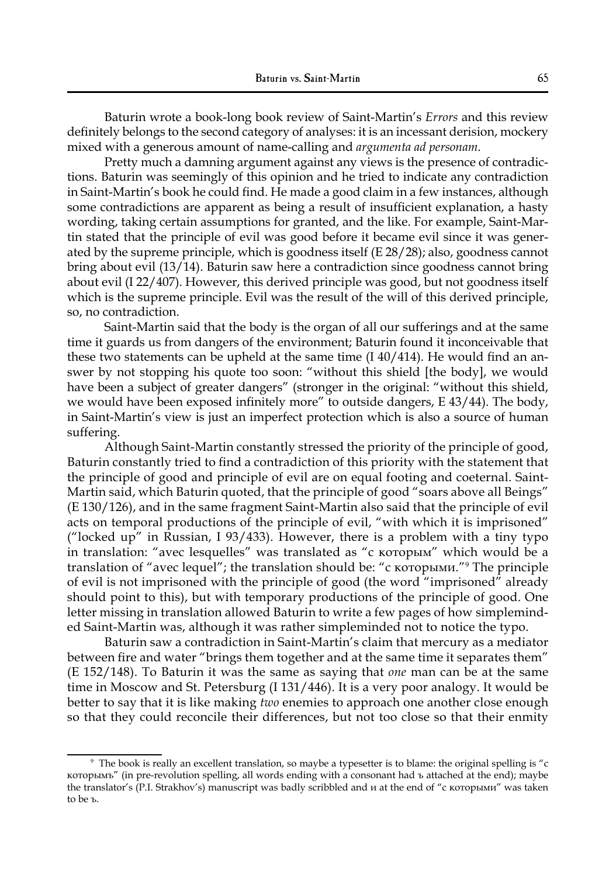Baturin wrote a book-long book review of Saint-Martin's *Errors* and this review definitely belongs to the second category of analyses: it is an incessant derision, mockery mixed with a generous amount of name-calling and *argumenta ad personam*.

Pretty much a damning argument against any views is the presence of contradictions. Baturin was seemingly of this opinion and he tried to indicate any contradiction in Saint-Martin's book he could find. He made a good claim in a few instances, although some contradictions are apparent as being a result of insufficient explanation, a hasty wording, taking certain assumptions for granted, and the like. For example, Saint-Martin stated that the principle of evil was good before it became evil since it was generated by the supreme principle, which is goodness itself (E 28/28); also, goodness cannot bring about evil (13/14). Baturin saw here a contradiction since goodness cannot bring about evil (I 22/407). However, this derived principle was good, but not goodness itself which is the supreme principle. Evil was the result of the will of this derived principle, so, no contradiction.

Saint-Martin said that the body is the organ of all our sufferings and at the same time it guards us from dangers of the environment; Baturin found it inconceivable that these two statements can be upheld at the same time  $(1.40/414)$ . He would find an answer by not stopping his quote too soon: "without this shield [the body], we would have been a subject of greater dangers" (stronger in the original: "without this shield, we would have been exposed infinitely more" to outside dangers, E 43/44). The body, in Saint-Martin's view is just an imperfect protection which is also a source of human suffering.

Although Saint-Martin constantly stressed the priority of the principle of good, Baturin constantly tried to find a contradiction of this priority with the statement that the principle of good and principle of evil are on equal footing and coeternal. Saint-Martin said, which Baturin quoted, that the principle of good "soars above all Beings" (E 130/126), and in the same fragment Saint-Martin also said that the principle of evil acts on temporal productions of the principle of evil, "with which it is imprisoned" ("locked up" in Russian, I 93/433). However, there is a problem with a tiny typo in translation: "avec lesquelles" was translated as "с которым" which would be a translation of "avec lequel"; the translation should be: "с которыми."9 The principle of evil is not imprisoned with the principle of good (the word "imprisoned" already should point to this), but with temporary productions of the principle of good. One letter missing in translation allowed Baturin to write a few pages of how simpleminded Saint-Martin was, although it was rather simpleminded not to notice the typo.

Baturin saw a contradiction in Saint-Martin's claim that mercury as a mediator between fire and water "brings them together and at the same time it separates them" (E 152/148). To Baturin it was the same as saying that *one* man can be at the same time in Moscow and St. Petersburg (I 131/446). It is a very poor analogy. It would be better to say that it is like making *two* enemies to approach one another close enough so that they could reconcile their differences, but not too close so that their enmity

<sup>9</sup> The book is really an excellent translation, so maybe a typesetter is to blame: the original spelling is "с которымъ" (in pre-revolution spelling, all words ending with a consonant had ъ attached at the end); maybe the translator's (P.I. Strakhov's) manuscript was badly scribbled and и at the end of "с которыми" was taken to be ъ.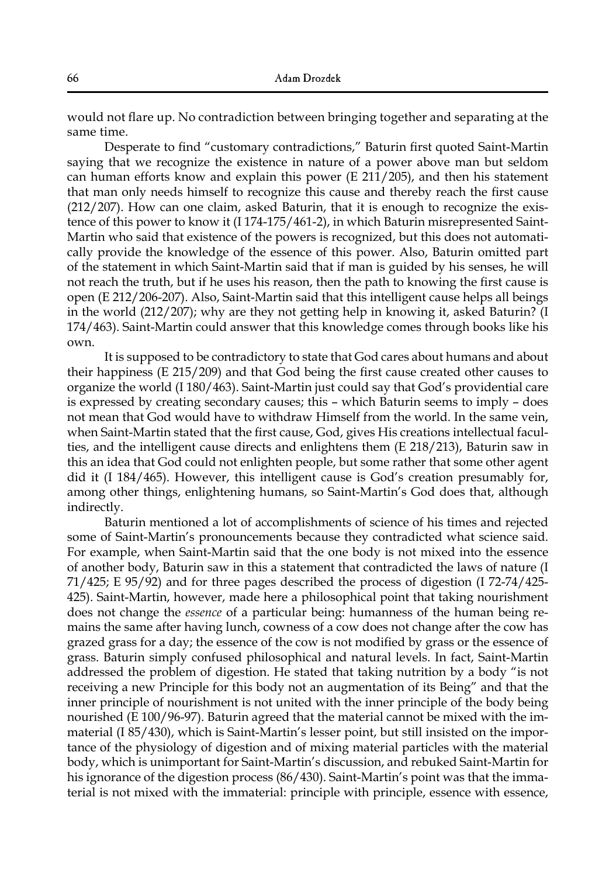would not flare up. No contradiction between bringing together and separating at the same time.

Desperate to find "customary contradictions," Baturin first quoted Saint-Martin saying that we recognize the existence in nature of a power above man but seldom can human efforts know and explain this power (E 211/205), and then his statement that man only needs himself to recognize this cause and thereby reach the first cause (212/207). How can one claim, asked Baturin, that it is enough to recognize the existence of this power to know it (I 174-175/461-2), in which Baturin misrepresented Saint-Martin who said that existence of the powers is recognized, but this does not automatically provide the knowledge of the essence of this power. Also, Baturin omitted part of the statement in which Saint-Martin said that if man is guided by his senses, he will not reach the truth, but if he uses his reason, then the path to knowing the first cause is open (E 212/206-207). Also, Saint-Martin said that this intelligent cause helps all beings in the world (212/207); why are they not getting help in knowing it, asked Baturin? (I 174/463). Saint-Martin could answer that this knowledge comes through books like his own.

It is supposed to be contradictory to state that God cares about humans and about their happiness (E 215/209) and that God being the first cause created other causes to organize the world (I 180/463). Saint-Martin just could say that God's providential care is expressed by creating secondary causes; this – which Baturin seems to imply – does not mean that God would have to withdraw Himself from the world. In the same vein, when Saint-Martin stated that the first cause, God, gives His creations intellectual faculties, and the intelligent cause directs and enlightens them (E 218/213), Baturin saw in this an idea that God could not enlighten people, but some rather that some other agent did it (I 184/465). However, this intelligent cause is God's creation presumably for, among other things, enlightening humans, so Saint-Martin's God does that, although indirectly.

Baturin mentioned a lot of accomplishments of science of his times and rejected some of Saint-Martin's pronouncements because they contradicted what science said. For example, when Saint-Martin said that the one body is not mixed into the essence of another body, Baturin saw in this a statement that contradicted the laws of nature (I 71/425; E 95/92) and for three pages described the process of digestion (I 72-74/425- 425). Saint-Martin, however, made here a philosophical point that taking nourishment does not change the *essence* of a particular being: humanness of the human being remains the same after having lunch, cowness of a cow does not change after the cow has grazed grass for a day; the essence of the cow is not modified by grass or the essence of grass. Baturin simply confused philosophical and natural levels. In fact, Saint-Martin addressed the problem of digestion. He stated that taking nutrition by a body "is not receiving a new Principle for this body not an augmentation of its Being" and that the inner principle of nourishment is not united with the inner principle of the body being nourished (E 100/96-97). Baturin agreed that the material cannot be mixed with the immaterial (I 85/430), which is Saint-Martin's lesser point, but still insisted on the importance of the physiology of digestion and of mixing material particles with the material body, which is unimportant for Saint-Martin's discussion, and rebuked Saint-Martin for his ignorance of the digestion process (86/430). Saint-Martin's point was that the immaterial is not mixed with the immaterial: principle with principle, essence with essence,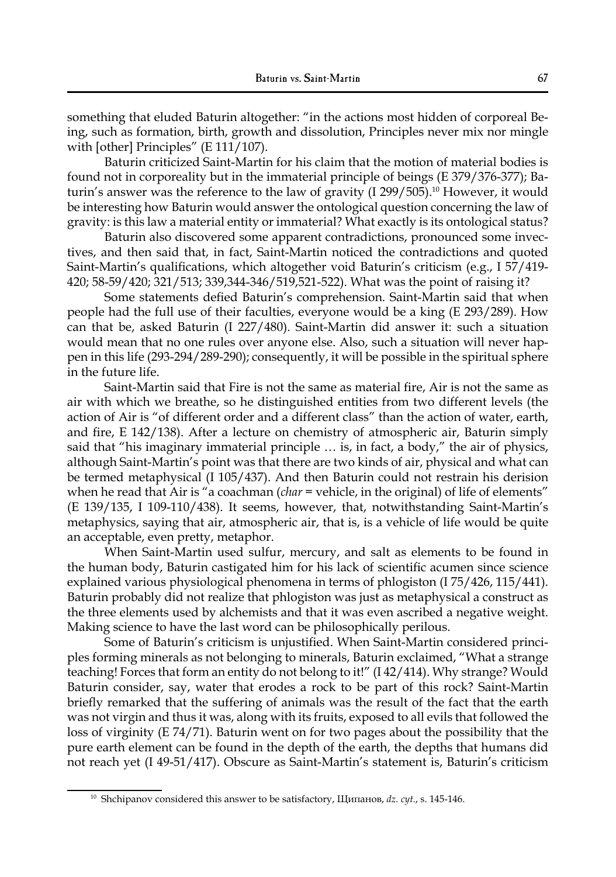something that eluded Baturin altogether: "in the actions most hidden of corporeal Being, such as formation, birth, growth and dissolution, Principles never mix nor mingle with [other] Principles" (E 111/107).

Baturin criticized Saint-Martin for his claim that the motion of material bodies is found not in corporeality but in the immaterial principle of beings (E 379/376-377); Baturin's answer was the reference to the law of gravity (I 299/505).10 However, it would be interesting how Baturin would answer the ontological question concerning the law of gravity: is this law a material entity or immaterial? What exactly is its ontological status?

Baturin also discovered some apparent contradictions, pronounced some invectives, and then said that, in fact, Saint-Martin noticed the contradictions and quoted Saint-Martin's qualifications, which altogether void Baturin's criticism (e.g., I 57/419- 420; 58-59/420; 321/513; 339,344-346/519,521-522). What was the point of raising it?

Some statements defied Baturin's comprehension. Saint-Martin said that when people had the full use of their faculties, everyone would be a king (E 293/289). How can that be, asked Baturin (I 227/480). Saint-Martin did answer it: such a situation would mean that no one rules over anyone else. Also, such a situation will never happen in this life (293-294/289-290); consequently, it will be possible in the spiritual sphere in the future life.

Saint-Martin said that Fire is not the same as material fire, Air is not the same as air with which we breathe, so he distinguished entities from two different levels (the action of Air is "of different order and a different class" than the action of water, earth, and fire, E 142/138). After a lecture on chemistry of atmospheric air, Baturin simply said that "his imaginary immaterial principle … is, in fact, a body," the air of physics, although Saint-Martin's point was that there are two kinds of air, physical and what can be termed metaphysical (I 105/437). And then Baturin could not restrain his derision when he read that Air is "a coachman (*char* = vehicle, in the original) of life of elements" (E 139/135, I 109-110/438). It seems, however, that, notwithstanding Saint-Martin's metaphysics, saying that air, atmospheric air, that is, is a vehicle of life would be quite an acceptable, even pretty, metaphor.

When Saint-Martin used sulfur, mercury, and salt as elements to be found in the human body, Baturin castigated him for his lack of scientific acumen since science explained various physiological phenomena in terms of phlogiston (I 75/426, 115/441). Baturin probably did not realize that phlogiston was just as metaphysical a construct as the three elements used by alchemists and that it was even ascribed a negative weight. Making science to have the last word can be philosophically perilous.

Some of Baturin's criticism is unjustified. When Saint-Martin considered principles forming minerals as not belonging to minerals, Baturin exclaimed, "What a strange teaching! Forces that form an entity do not belong to it!" (I 42/414). Why strange? Would Baturin consider, say, water that erodes a rock to be part of this rock? Saint-Martin briefly remarked that the suffering of animals was the result of the fact that the earth was not virgin and thus it was, along with its fruits, exposed to all evils that followed the loss of virginity (E 74/71). Baturin went on for two pages about the possibility that the pure earth element can be found in the depth of the earth, the depths that humans did not reach yet (I 49-51/417). Obscure as Saint-Martin's statement is, Baturin's criticism

<sup>&</sup>lt;sup>10</sup> Shchipanov considered this answer to be satisfactory, Щипанов, dz. cyt., s. 145-146.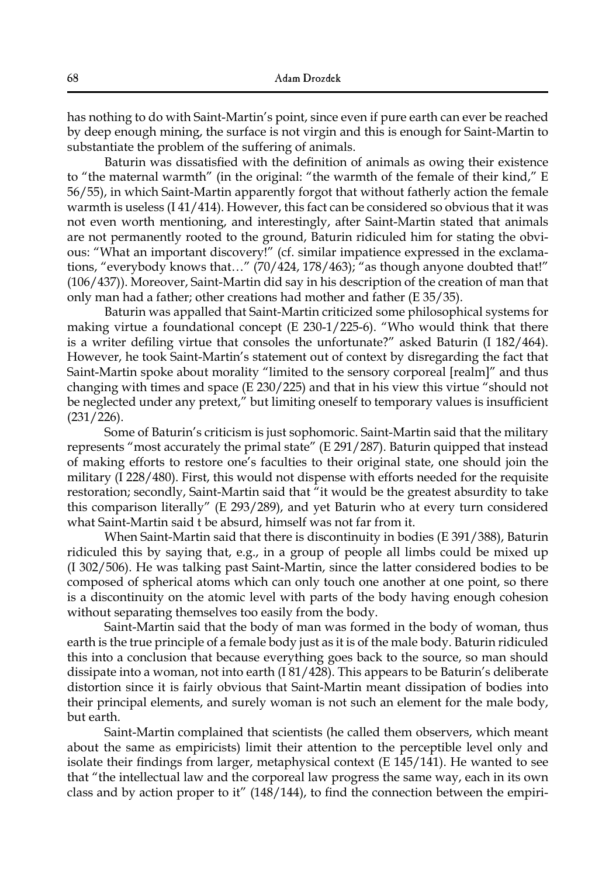has nothing to do with Saint-Martin's point, since even if pure earth can ever be reached by deep enough mining, the surface is not virgin and this is enough for Saint-Martin to substantiate the problem of the suffering of animals.

Baturin was dissatisfied with the definition of animals as owing their existence to "the maternal warmth" (in the original: "the warmth of the female of their kind," E 56/55), in which Saint-Martin apparently forgot that without fatherly action the female warmth is useless  $(141/414)$ . However, this fact can be considered so obvious that it was not even worth mentioning, and interestingly, after Saint-Martin stated that animals are not permanently rooted to the ground, Baturin ridiculed him for stating the obvious: "What an important discovery!" (cf. similar impatience expressed in the exclamations, "everybody knows that…" (70/424, 178/463); "as though anyone doubted that!" (106/437)). Moreover, Saint-Martin did say in his description of the creation of man that only man had a father; other creations had mother and father (E 35/35).

Baturin was appalled that Saint-Martin criticized some philosophical systems for making virtue a foundational concept (E 230-1/225-6). "Who would think that there is a writer defiling virtue that consoles the unfortunate?" asked Baturin (I 182/464). However, he took Saint-Martin's statement out of context by disregarding the fact that Saint-Martin spoke about morality "limited to the sensory corporeal [realm]" and thus changing with times and space (E 230/225) and that in his view this virtue "should not be neglected under any pretext," but limiting oneself to temporary values is insufficient (231/226).

Some of Baturin's criticism is just sophomoric. Saint-Martin said that the military represents "most accurately the primal state" (E 291/287). Baturin quipped that instead of making efforts to restore one's faculties to their original state, one should join the military (I 228/480). First, this would not dispense with efforts needed for the requisite restoration; secondly, Saint-Martin said that "it would be the greatest absurdity to take this comparison literally" (E 293/289), and yet Baturin who at every turn considered what Saint-Martin said t be absurd, himself was not far from it.

When Saint-Martin said that there is discontinuity in bodies (E 391/388), Baturin ridiculed this by saying that, e.g., in a group of people all limbs could be mixed up (I 302/506). He was talking past Saint-Martin, since the latter considered bodies to be composed of spherical atoms which can only touch one another at one point, so there is a discontinuity on the atomic level with parts of the body having enough cohesion without separating themselves too easily from the body.

Saint-Martin said that the body of man was formed in the body of woman, thus earth is the true principle of a female body just as it is of the male body. Baturin ridiculed this into a conclusion that because everything goes back to the source, so man should dissipate into a woman, not into earth (I 81/428). This appears to be Baturin's deliberate distortion since it is fairly obvious that Saint-Martin meant dissipation of bodies into their principal elements, and surely woman is not such an element for the male body, but earth.

Saint-Martin complained that scientists (he called them observers, which meant about the same as empiricists) limit their attention to the perceptible level only and isolate their findings from larger, metaphysical context (E 145/141). He wanted to see that "the intellectual law and the corporeal law progress the same way, each in its own class and by action proper to it" (148/144), to find the connection between the empiri-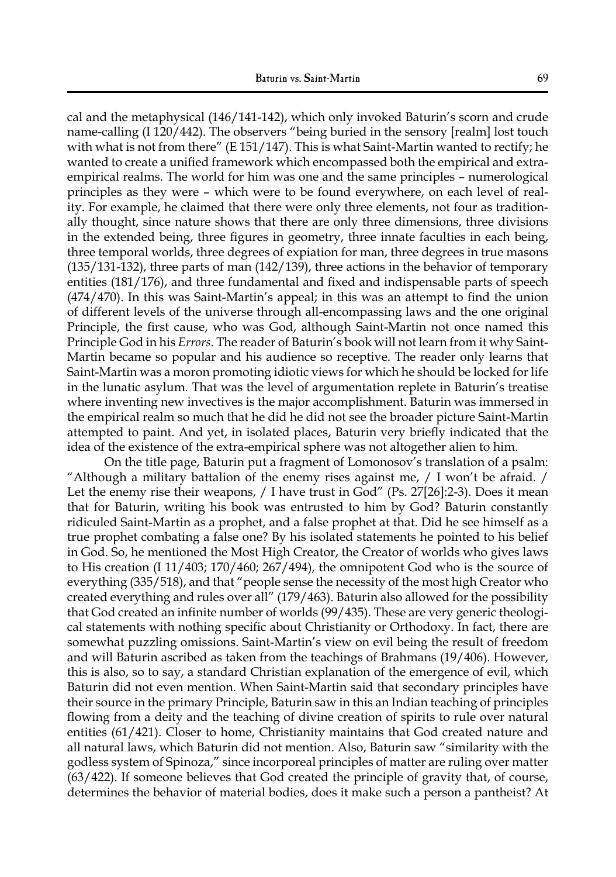cal and the metaphysical (146/141-142), which only invoked Baturin's scorn and crude name-calling (I 120/442). The observers "being buried in the sensory [realm] lost touch with what is not from there" (E 151/147). This is what Saint-Martin wanted to rectify; he wanted to create a unified framework which encompassed both the empirical and extraempirical realms. The world for him was one and the same principles – numerological principles as they were – which were to be found everywhere, on each level of reality. For example, he claimed that there were only three elements, not four as traditionally thought, since nature shows that there are only three dimensions, three divisions in the extended being, three figures in geometry, three innate faculties in each being, three temporal worlds, three degrees of expiation for man, three degrees in true masons (135/131-132), three parts of man (142/139), three actions in the behavior of temporary entities (181/176), and three fundamental and fixed and indispensable parts of speech (474/470). In this was Saint-Martin's appeal; in this was an attempt to find the union of different levels of the universe through all-encompassing laws and the one original Principle, the first cause, who was God, although Saint-Martin not once named this Principle God in his *Errors*. The reader of Baturin's book will not learn from it why Saint-Martin became so popular and his audience so receptive. The reader only learns that Saint-Martin was a moron promoting idiotic views for which he should be locked for life in the lunatic asylum. That was the level of argumentation replete in Baturin's treatise where inventing new invectives is the major accomplishment. Baturin was immersed in the empirical realm so much that he did he did not see the broader picture Saint-Martin attempted to paint. And yet, in isolated places, Baturin very briefly indicated that the idea of the existence of the extra-empirical sphere was not altogether alien to him.

On the title page, Baturin put a fragment of Lomonosov's translation of a psalm: "Although a military battalion of the enemy rises against me,  $\frac{1}{1}$  won't be afraid.  $\frac{1}{1}$ Let the enemy rise their weapons, / I have trust in God" (Ps. 27[26]:2-3). Does it mean that for Baturin, writing his book was entrusted to him by God? Baturin constantly ridiculed Saint-Martin as a prophet, and a false prophet at that. Did he see himself as a true prophet combating a false one? By his isolated statements he pointed to his belief in God. So, he mentioned the Most High Creator, the Creator of worlds who gives laws to His creation (I 11/403; 170/460; 267/494), the omnipotent God who is the source of everything (335/518), and that "people sense the necessity of the most high Creator who created everything and rules over all" (179/463). Baturin also allowed for the possibility that God created an infinite number of worlds (99/435). These are very generic theological statements with nothing specific about Christianity or Orthodoxy. In fact, there are somewhat puzzling omissions. Saint-Martin's view on evil being the result of freedom and will Baturin ascribed as taken from the teachings of Brahmans (19/406). However, this is also, so to say, a standard Christian explanation of the emergence of evil, which Baturin did not even mention. When Saint-Martin said that secondary principles have their source in the primary Principle, Baturin saw in this an Indian teaching of principles flowing from a deity and the teaching of divine creation of spirits to rule over natural entities (61/421). Closer to home, Christianity maintains that God created nature and all natural laws, which Baturin did not mention. Also, Baturin saw "similarity with the godless system of Spinoza," since incorporeal principles of matter are ruling over matter (63/422). If someone believes that God created the principle of gravity that, of course, determines the behavior of material bodies, does it make such a person a pantheist? At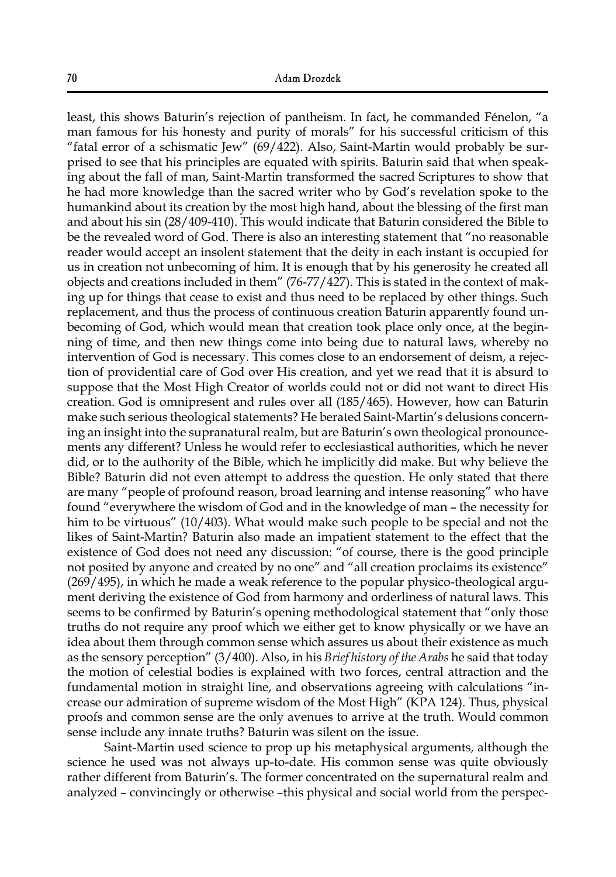least, this shows Baturin's rejection of pantheism. In fact, he commanded Fénelon, "a man famous for his honesty and purity of morals" for his successful criticism of this "fatal error of a schismatic Jew"  $(69/422)$ . Also, Saint-Martin would probably be surprised to see that his principles are equated with spirits. Baturin said that when speaking about the fall of man, Saint-Martin transformed the sacred Scriptures to show that he had more knowledge than the sacred writer who by God's revelation spoke to the humankind about its creation by the most high hand, about the blessing of the first man and about his sin (28/409-410). This would indicate that Baturin considered the Bible to be the revealed word of God. There is also an interesting statement that "no reasonable reader would accept an insolent statement that the deity in each instant is occupied for us in creation not unbecoming of him. It is enough that by his generosity he created all objects and creations included in them" (76-77/427). This is stated in the context of making up for things that cease to exist and thus need to be replaced by other things. Such replacement, and thus the process of continuous creation Baturin apparently found unbecoming of God, which would mean that creation took place only once, at the beginning of time, and then new things come into being due to natural laws, whereby no intervention of God is necessary. This comes close to an endorsement of deism, a rejection of providential care of God over His creation, and yet we read that it is absurd to suppose that the Most High Creator of worlds could not or did not want to direct His creation. God is omnipresent and rules over all (185/465). However, how can Baturin make such serious theological statements? He berated Saint-Martin's delusions concerning an insight into the supranatural realm, but are Baturin's own theological pronouncements any different? Unless he would refer to ecclesiastical authorities, which he never did, or to the authority of the Bible, which he implicitly did make. But why believe the Bible? Baturin did not even attempt to address the question. He only stated that there are many "people of profound reason, broad learning and intense reasoning" who have found "everywhere the wisdom of God and in the knowledge of man – the necessity for him to be virtuous" (10/403). What would make such people to be special and not the likes of Saint-Martin? Baturin also made an impatient statement to the effect that the existence of God does not need any discussion: "of course, there is the good principle not posited by anyone and created by no one" and "all creation proclaims its existence" (269/495), in which he made a weak reference to the popular physico-theological argument deriving the existence of God from harmony and orderliness of natural laws. This seems to be confirmed by Baturin's opening methodological statement that "only those truths do not require any proof which we either get to know physically or we have an idea about them through common sense which assures us about their existence as much as the sensory perception" (3/400). Also, in his *Brief history of the Arabs* he said that today the motion of celestial bodies is explained with two forces, central attraction and the fundamental motion in straight line, and observations agreeing with calculations "increase our admiration of supreme wisdom of the Most High" (KPA 124). Thus, physical proofs and common sense are the only avenues to arrive at the truth. Would common sense include any innate truths? Baturin was silent on the issue.

Saint-Martin used science to prop up his metaphysical arguments, although the science he used was not always up-to-date. His common sense was quite obviously rather different from Baturin's. The former concentrated on the supernatural realm and analyzed – convincingly or otherwise –this physical and social world from the perspec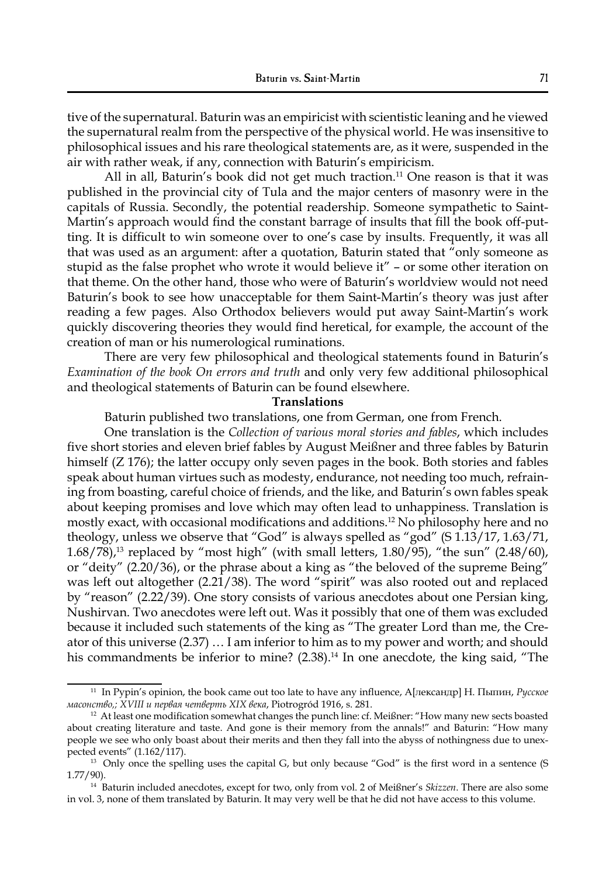tive of the supernatural. Baturin was an empiricist with scientistic leaning and he viewed the supernatural realm from the perspective of the physical world. He was insensitive to philosophical issues and his rare theological statements are, as it were, suspended in the air with rather weak, if any, connection with Baturin's empiricism.

All in all, Baturin's book did not get much traction.<sup>11</sup> One reason is that it was published in the provincial city of Tula and the major centers of masonry were in the capitals of Russia. Secondly, the potential readership. Someone sympathetic to Saint-Martin's approach would find the constant barrage of insults that fill the book off-putting. It is difficult to win someone over to one's case by insults. Frequently, it was all that was used as an argument: after a quotation, Baturin stated that "only someone as stupid as the false prophet who wrote it would believe it" – or some other iteration on that theme. On the other hand, those who were of Baturin's worldview would not need Baturin's book to see how unacceptable for them Saint-Martin's theory was just after reading a few pages. Also Orthodox believers would put away Saint-Martin's work quickly discovering theories they would find heretical, for example, the account of the creation of man or his numerological ruminations.

There are very few philosophical and theological statements found in Baturin's *Examination of the book On errors and truth* and only very few additional philosophical and theological statements of Baturin can be found elsewhere.

#### **Translations**

Baturin published two translations, one from German, one from French.

One translation is the *Collection of various moral stories and fables*, which includes five short stories and eleven brief fables by August Meißner and three fables by Baturin himself (Z 176); the latter occupy only seven pages in the book. Both stories and fables speak about human virtues such as modesty, endurance, not needing too much, refraining from boasting, careful choice of friends, and the like, and Baturin's own fables speak about keeping promises and love which may often lead to unhappiness. Translation is mostly exact, with occasional modifications and additions.12 No philosophy here and no theology, unless we observe that "God" is always spelled as "god" (S 1.13/17, 1.63/71,  $1.68/78$ ),<sup>13</sup> replaced by "most high" (with small letters,  $1.80/95$ ), "the sun" (2.48/60), or "deity" (2.20/36), or the phrase about a king as "the beloved of the supreme Being" was left out altogether (2.21/38). The word "spirit" was also rooted out and replaced by "reason" (2.22/39). One story consists of various anecdotes about one Persian king, Nushirvan. Two anecdotes were left out. Was it possibly that one of them was excluded because it included such statements of the king as "The greater Lord than me, the Creator of this universe (2.37) … I am inferior to him as to my power and worth; and should his commandments be inferior to mine? (2.38).<sup>14</sup> In one anecdote, the king said, "The

<sup>11</sup> In Pypin's opinion, the book came out too late to have any influence, А[лександр] Н. Пыпин, *Русское масонство,; XVIII и первая четверть XIX века*, Piotrogród 1916, s. 281.

<sup>12</sup> At least one modification somewhat changes the punch line: cf. Meißner: "How many new sects boasted about creating literature and taste. And gone is their memory from the annals!" and Baturin: "How many people we see who only boast about their merits and then they fall into the abyss of nothingness due to unexpected events" (1.162/117).

<sup>&</sup>lt;sup>13</sup> Only once the spelling uses the capital G, but only because "God" is the first word in a sentence (S 1.77/90).

<sup>&</sup>lt;sup>14</sup> Baturin included anecdotes, except for two, only from vol. 2 of Meißner's *Skizzen*. There are also some in vol. 3, none of them translated by Baturin. It may very well be that he did not have access to this volume.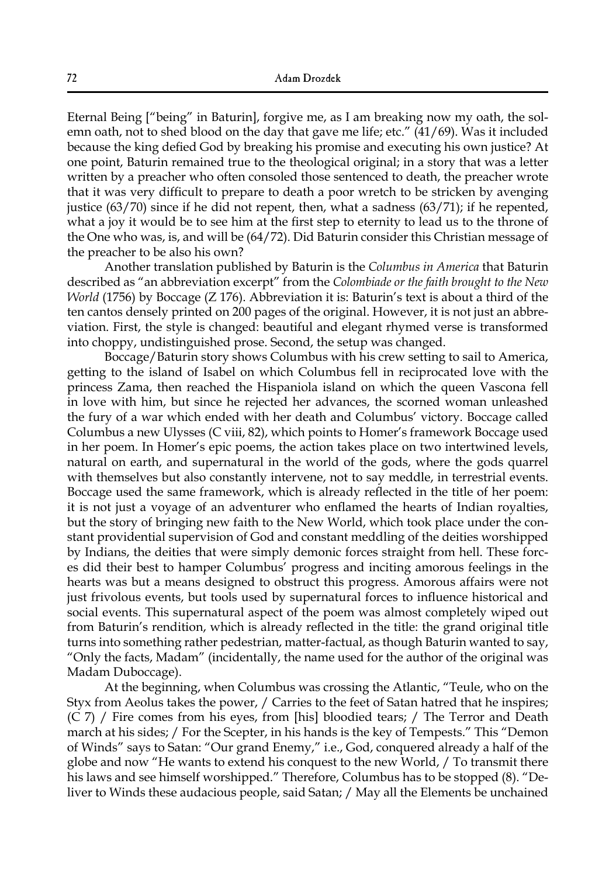Eternal Being ["being" in Baturin], forgive me, as I am breaking now my oath, the solemn oath, not to shed blood on the day that gave me life; etc."  $(41/69)$ . Was it included because the king defied God by breaking his promise and executing his own justice? At one point, Baturin remained true to the theological original; in a story that was a letter written by a preacher who often consoled those sentenced to death, the preacher wrote that it was very difficult to prepare to death a poor wretch to be stricken by avenging justice (63/70) since if he did not repent, then, what a sadness (63/71); if he repented, what a joy it would be to see him at the first step to eternity to lead us to the throne of the One who was, is, and will be (64/72). Did Baturin consider this Christian message of the preacher to be also his own?

Another translation published by Baturin is the *Columbus in America* that Baturin described as "an abbreviation excerpt" from the *Colombiade or the faith brought to the New World* (1756) by Boccage (Z 176). Abbreviation it is: Baturin's text is about a third of the ten cantos densely printed on 200 pages of the original. However, it is not just an abbreviation. First, the style is changed: beautiful and elegant rhymed verse is transformed into choppy, undistinguished prose. Second, the setup was changed.

Boccage/Baturin story shows Columbus with his crew setting to sail to America, getting to the island of Isabel on which Columbus fell in reciprocated love with the princess Zama, then reached the Hispaniola island on which the queen Vascona fell in love with him, but since he rejected her advances, the scorned woman unleashed the fury of a war which ended with her death and Columbus' victory. Boccage called Columbus a new Ulysses (C viii, 82), which points to Homer's framework Boccage used in her poem. In Homer's epic poems, the action takes place on two intertwined levels, natural on earth, and supernatural in the world of the gods, where the gods quarrel with themselves but also constantly intervene, not to say meddle, in terrestrial events. Boccage used the same framework, which is already reflected in the title of her poem: it is not just a voyage of an adventurer who enflamed the hearts of Indian royalties, but the story of bringing new faith to the New World, which took place under the constant providential supervision of God and constant meddling of the deities worshipped by Indians, the deities that were simply demonic forces straight from hell. These forces did their best to hamper Columbus' progress and inciting amorous feelings in the hearts was but a means designed to obstruct this progress. Amorous affairs were not just frivolous events, but tools used by supernatural forces to influence historical and social events. This supernatural aspect of the poem was almost completely wiped out from Baturin's rendition, which is already reflected in the title: the grand original title turns into something rather pedestrian, matter-factual, as though Baturin wanted to say, "Only the facts, Madam" (incidentally, the name used for the author of the original was Madam Duboccage).

At the beginning, when Columbus was crossing the Atlantic, "Teule, who on the Styx from Aeolus takes the power, / Carries to the feet of Satan hatred that he inspires; (C 7) / Fire comes from his eyes, from [his] bloodied tears; / The Terror and Death march at his sides; / For the Scepter, in his hands is the key of Tempests." This "Demon of Winds" says to Satan: "Our grand Enemy," i.e., God, conquered already a half of the globe and now "He wants to extend his conquest to the new World, / To transmit there his laws and see himself worshipped." Therefore, Columbus has to be stopped (8). "Deliver to Winds these audacious people, said Satan; / May all the Elements be unchained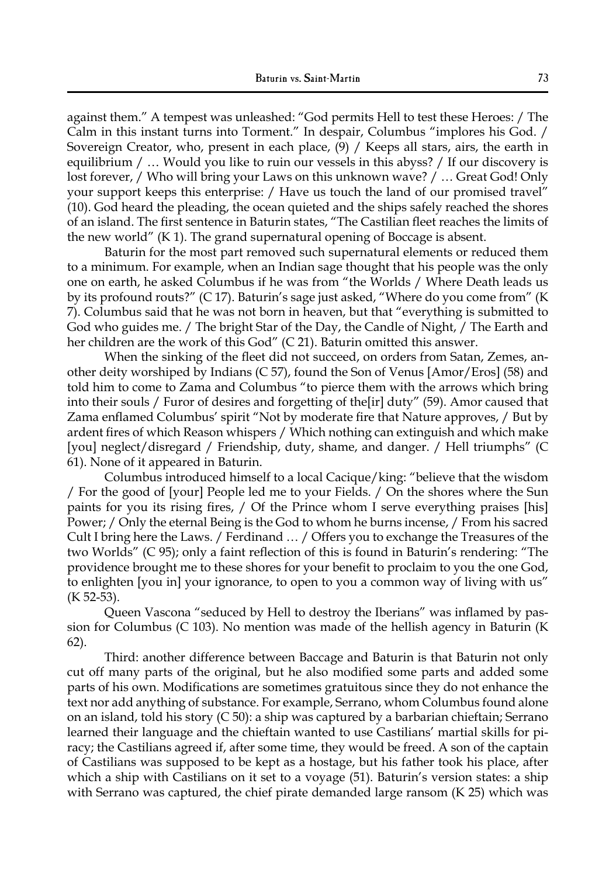against them." A tempest was unleashed: "God permits Hell to test these Heroes: / The Calm in this instant turns into Torment." In despair, Columbus "implores his God. / Sovereign Creator, who, present in each place, (9) / Keeps all stars, airs, the earth in equilibrium / ... Would you like to ruin our vessels in this abyss? / If our discovery is lost forever, / Who will bring your Laws on this unknown wave? / … Great God! Only your support keeps this enterprise: / Have us touch the land of our promised travel" (10). God heard the pleading, the ocean quieted and the ships safely reached the shores of an island. The first sentence in Baturin states, "The Castilian fleet reaches the limits of the new world" (K 1). The grand supernatural opening of Boccage is absent.

Baturin for the most part removed such supernatural elements or reduced them to a minimum. For example, when an Indian sage thought that his people was the only one on earth, he asked Columbus if he was from "the Worlds / Where Death leads us by its profound routs?" (C 17). Baturin's sage just asked, "Where do you come from" (K 7). Columbus said that he was not born in heaven, but that "everything is submitted to God who guides me. / The bright Star of the Day, the Candle of Night, / The Earth and her children are the work of this God" (C 21). Baturin omitted this answer.

When the sinking of the fleet did not succeed, on orders from Satan, Zemes, another deity worshiped by Indians (C 57), found the Son of Venus [Amor/Eros] (58) and told him to come to Zama and Columbus "to pierce them with the arrows which bring into their souls / Furor of desires and forgetting of the[ir] duty" (59). Amor caused that Zama enflamed Columbus' spirit "Not by moderate fire that Nature approves, / But by ardent fires of which Reason whispers / Which nothing can extinguish and which make [you] neglect/disregard / Friendship, duty, shame, and danger. / Hell triumphs" (C 61). None of it appeared in Baturin.

Columbus introduced himself to a local Cacique/king: "believe that the wisdom / For the good of [your] People led me to your Fields. / On the shores where the Sun paints for you its rising fires, / Of the Prince whom I serve everything praises [his] Power; / Only the eternal Being is the God to whom he burns incense, / From his sacred Cult I bring here the Laws. / Ferdinand … / Offers you to exchange the Treasures of the two Worlds" (C 95); only a faint reflection of this is found in Baturin's rendering: "The providence brought me to these shores for your benefit to proclaim to you the one God, to enlighten [you in] your ignorance, to open to you a common way of living with us" (K 52-53).

Queen Vascona "seduced by Hell to destroy the Iberians" was inflamed by passion for Columbus (C 103). No mention was made of the hellish agency in Baturin (K 62).

Third: another difference between Baccage and Baturin is that Baturin not only cut off many parts of the original, but he also modified some parts and added some parts of his own. Modifications are sometimes gratuitous since they do not enhance the text nor add anything of substance. For example, Serrano, whom Columbus found alone on an island, told his story (C 50): a ship was captured by a barbarian chieftain; Serrano learned their language and the chieftain wanted to use Castilians' martial skills for piracy; the Castilians agreed if, after some time, they would be freed. A son of the captain of Castilians was supposed to be kept as a hostage, but his father took his place, after which a ship with Castilians on it set to a voyage (51). Baturin's version states: a ship with Serrano was captured, the chief pirate demanded large ransom (K 25) which was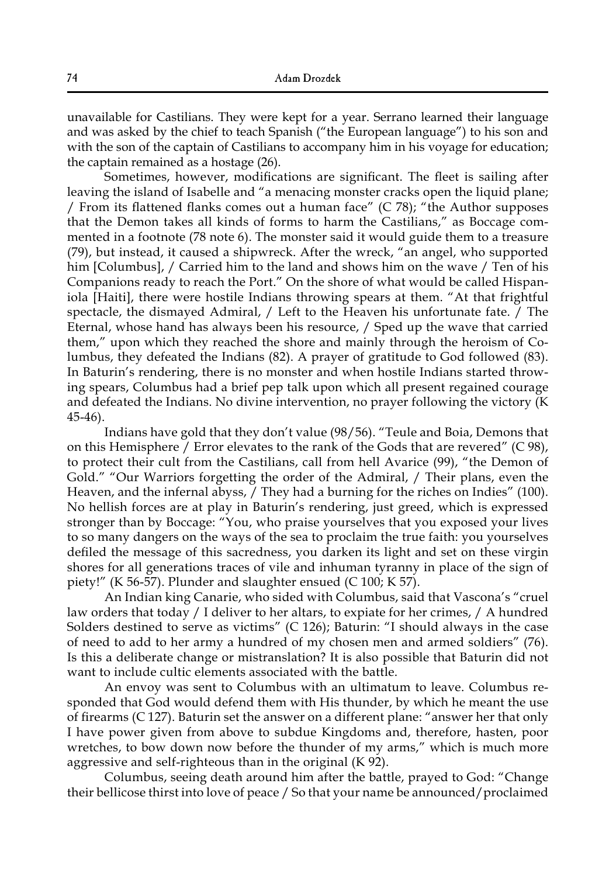unavailable for Castilians. They were kept for a year. Serrano learned their language and was asked by the chief to teach Spanish ("the European language") to his son and with the son of the captain of Castilians to accompany him in his voyage for education; the captain remained as a hostage (26).

Sometimes, however, modifications are significant. The fleet is sailing after leaving the island of Isabelle and "a menacing monster cracks open the liquid plane; / From its flattened flanks comes out a human face" (C 78); "the Author supposes that the Demon takes all kinds of forms to harm the Castilians," as Boccage commented in a footnote (78 note 6). The monster said it would guide them to a treasure (79), but instead, it caused a shipwreck. After the wreck, "an angel, who supported him [Columbus], / Carried him to the land and shows him on the wave / Ten of his Companions ready to reach the Port." On the shore of what would be called Hispaniola [Haiti], there were hostile Indians throwing spears at them. "At that frightful spectacle, the dismayed Admiral, / Left to the Heaven his unfortunate fate. / The Eternal, whose hand has always been his resource, / Sped up the wave that carried them," upon which they reached the shore and mainly through the heroism of Columbus, they defeated the Indians (82). A prayer of gratitude to God followed (83). In Baturin's rendering, there is no monster and when hostile Indians started throwing spears, Columbus had a brief pep talk upon which all present regained courage and defeated the Indians. No divine intervention, no prayer following the victory (K 45-46).

Indians have gold that they don't value (98/56). "Teule and Boia, Demons that on this Hemisphere / Error elevates to the rank of the Gods that are revered" (C 98), to protect their cult from the Castilians, call from hell Avarice (99), "the Demon of Gold." "Our Warriors forgetting the order of the Admiral, / Their plans, even the Heaven, and the infernal abyss, / They had a burning for the riches on Indies" (100). No hellish forces are at play in Baturin's rendering, just greed, which is expressed stronger than by Boccage: "You, who praise yourselves that you exposed your lives to so many dangers on the ways of the sea to proclaim the true faith: you yourselves defiled the message of this sacredness, you darken its light and set on these virgin shores for all generations traces of vile and inhuman tyranny in place of the sign of piety!" (K 56-57). Plunder and slaughter ensued (C 100; K 57).

An Indian king Canarie, who sided with Columbus, said that Vascona's "cruel law orders that today / I deliver to her altars, to expiate for her crimes, / A hundred Solders destined to serve as victims" (C 126); Baturin: "I should always in the case of need to add to her army a hundred of my chosen men and armed soldiers" (76). Is this a deliberate change or mistranslation? It is also possible that Baturin did not want to include cultic elements associated with the battle.

An envoy was sent to Columbus with an ultimatum to leave. Columbus responded that God would defend them with His thunder, by which he meant the use of firearms (C 127). Baturin set the answer on a different plane: "answer her that only I have power given from above to subdue Kingdoms and, therefore, hasten, poor wretches, to bow down now before the thunder of my arms," which is much more aggressive and self-righteous than in the original (K 92).

Columbus, seeing death around him after the battle, prayed to God: "Change their bellicose thirst into love of peace / So that your name be announced/proclaimed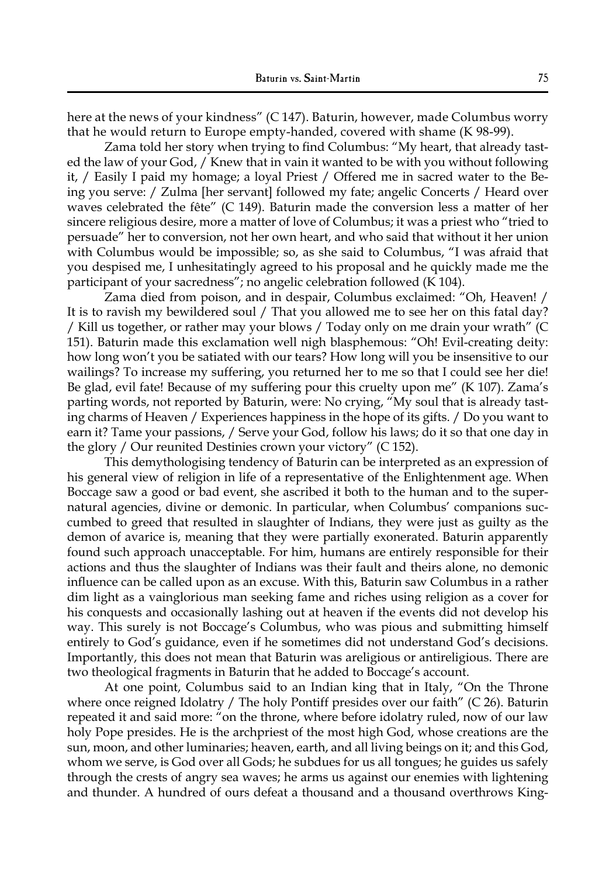here at the news of your kindness" (C 147). Baturin, however, made Columbus worry that he would return to Europe empty-handed, covered with shame (K 98-99).

Zama told her story when trying to find Columbus: "My heart, that already tasted the law of your God, / Knew that in vain it wanted to be with you without following it, / Easily I paid my homage; a loyal Priest / Offered me in sacred water to the Being you serve: / Zulma [her servant] followed my fate; angelic Concerts / Heard over waves celebrated the fête" (C 149). Baturin made the conversion less a matter of her sincere religious desire, more a matter of love of Columbus; it was a priest who "tried to persuade" her to conversion, not her own heart, and who said that without it her union with Columbus would be impossible; so, as she said to Columbus, "I was afraid that you despised me, I unhesitatingly agreed to his proposal and he quickly made me the participant of your sacredness"; no angelic celebration followed (K 104).

Zama died from poison, and in despair, Columbus exclaimed: "Oh, Heaven! / It is to ravish my bewildered soul / That you allowed me to see her on this fatal day? / Kill us together, or rather may your blows / Today only on me drain your wrath" (C 151). Baturin made this exclamation well nigh blasphemous: "Oh! Evil-creating deity: how long won't you be satiated with our tears? How long will you be insensitive to our wailings? To increase my suffering, you returned her to me so that I could see her die! Be glad, evil fate! Because of my suffering pour this cruelty upon me" (K 107). Zama's parting words, not reported by Baturin, were: No crying, "My soul that is already tasting charms of Heaven / Experiences happiness in the hope of its gifts. / Do you want to earn it? Tame your passions, / Serve your God, follow his laws; do it so that one day in the glory / Our reunited Destinies crown your victory" (C 152).

This demythologising tendency of Baturin can be interpreted as an expression of his general view of religion in life of a representative of the Enlightenment age. When Boccage saw a good or bad event, she ascribed it both to the human and to the supernatural agencies, divine or demonic. In particular, when Columbus' companions succumbed to greed that resulted in slaughter of Indians, they were just as guilty as the demon of avarice is, meaning that they were partially exonerated. Baturin apparently found such approach unacceptable. For him, humans are entirely responsible for their actions and thus the slaughter of Indians was their fault and theirs alone, no demonic influence can be called upon as an excuse. With this, Baturin saw Columbus in a rather dim light as a vainglorious man seeking fame and riches using religion as a cover for his conquests and occasionally lashing out at heaven if the events did not develop his way. This surely is not Boccage's Columbus, who was pious and submitting himself entirely to God's guidance, even if he sometimes did not understand God's decisions. Importantly, this does not mean that Baturin was areligious or antireligious. There are two theological fragments in Baturin that he added to Boccage's account.

At one point, Columbus said to an Indian king that in Italy, "On the Throne where once reigned Idolatry / The holy Pontiff presides over our faith" (C 26). Baturin repeated it and said more: "on the throne, where before idolatry ruled, now of our law holy Pope presides. He is the archpriest of the most high God, whose creations are the sun, moon, and other luminaries; heaven, earth, and all living beings on it; and this God, whom we serve, is God over all Gods; he subdues for us all tongues; he guides us safely through the crests of angry sea waves; he arms us against our enemies with lightening and thunder. A hundred of ours defeat a thousand and a thousand overthrows King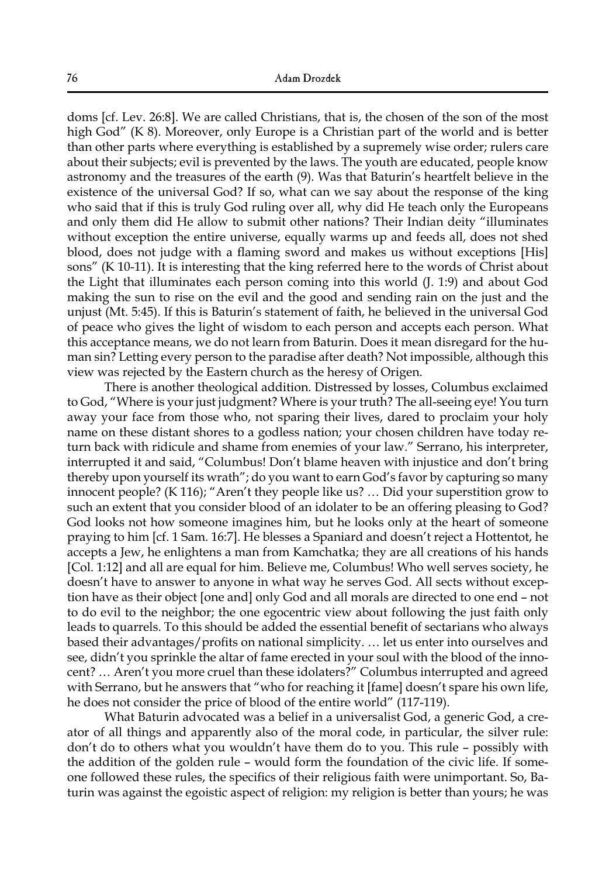doms [cf. Lev. 26:8]. We are called Christians, that is, the chosen of the son of the most high God" (K 8). Moreover, only Europe is a Christian part of the world and is better than other parts where everything is established by a supremely wise order; rulers care about their subjects; evil is prevented by the laws. The youth are educated, people know astronomy and the treasures of the earth (9). Was that Baturin's heartfelt believe in the existence of the universal God? If so, what can we say about the response of the king who said that if this is truly God ruling over all, why did He teach only the Europeans and only them did He allow to submit other nations? Their Indian deity "illuminates without exception the entire universe, equally warms up and feeds all, does not shed blood, does not judge with a flaming sword and makes us without exceptions [His] sons" (K 10-11). It is interesting that the king referred here to the words of Christ about the Light that illuminates each person coming into this world (J. 1:9) and about God making the sun to rise on the evil and the good and sending rain on the just and the unjust (Mt. 5:45). If this is Baturin's statement of faith, he believed in the universal God of peace who gives the light of wisdom to each person and accepts each person. What this acceptance means, we do not learn from Baturin. Does it mean disregard for the human sin? Letting every person to the paradise after death? Not impossible, although this view was rejected by the Eastern church as the heresy of Origen.

There is another theological addition. Distressed by losses, Columbus exclaimed to God, "Where is your just judgment? Where is your truth? The all-seeing eye! You turn away your face from those who, not sparing their lives, dared to proclaim your holy name on these distant shores to a godless nation; your chosen children have today return back with ridicule and shame from enemies of your law." Serrano, his interpreter, interrupted it and said, "Columbus! Don't blame heaven with injustice and don't bring thereby upon yourself its wrath"; do you want to earn God's favor by capturing so many innocent people? (K 116); "Aren't they people like us? … Did your superstition grow to such an extent that you consider blood of an idolater to be an offering pleasing to God? God looks not how someone imagines him, but he looks only at the heart of someone praying to him [cf. 1 Sam. 16:7]. He blesses a Spaniard and doesn't reject a Hottentot, he accepts a Jew, he enlightens a man from Kamchatka; they are all creations of his hands [Col. 1:12] and all are equal for him. Believe me, Columbus! Who well serves society, he doesn't have to answer to anyone in what way he serves God. All sects without exception have as their object [one and] only God and all morals are directed to one end – not to do evil to the neighbor; the one egocentric view about following the just faith only leads to quarrels. To this should be added the essential benefit of sectarians who always based their advantages/profits on national simplicity. … let us enter into ourselves and see, didn't you sprinkle the altar of fame erected in your soul with the blood of the innocent? … Aren't you more cruel than these idolaters?" Columbus interrupted and agreed with Serrano, but he answers that "who for reaching it [fame] doesn't spare his own life, he does not consider the price of blood of the entire world" (117-119).

What Baturin advocated was a belief in a universalist God, a generic God, a creator of all things and apparently also of the moral code, in particular, the silver rule: don't do to others what you wouldn't have them do to you. This rule – possibly with the addition of the golden rule – would form the foundation of the civic life. If someone followed these rules, the specifics of their religious faith were unimportant. So, Baturin was against the egoistic aspect of religion: my religion is better than yours; he was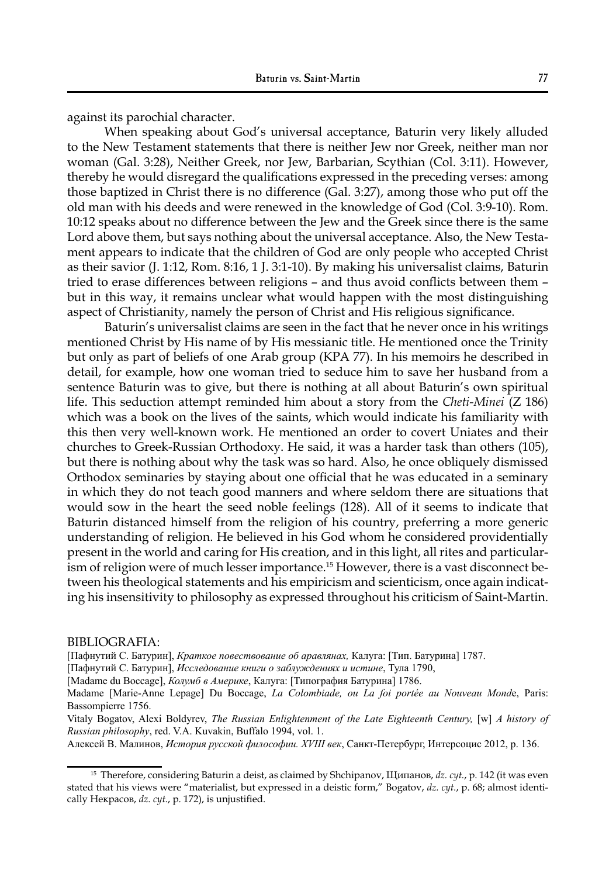against its parochial character.

When speaking about God's universal acceptance, Baturin very likely alluded to the New Testament statements that there is neither Jew nor Greek, neither man nor woman (Gal. 3:28), Neither Greek, nor Jew, Barbarian, Scythian (Col. 3:11). However, thereby he would disregard the qualifications expressed in the preceding verses: among those baptized in Christ there is no difference (Gal. 3:27), among those who put off the old man with his deeds and were renewed in the knowledge of God (Col. 3:9-10). Rom. 10:12 speaks about no difference between the Jew and the Greek since there is the same Lord above them, but says nothing about the universal acceptance. Also, the New Testament appears to indicate that the children of God are only people who accepted Christ as their savior (J. 1:12, Rom. 8:16, 1 J. 3:1-10). By making his universalist claims, Baturin tried to erase differences between religions – and thus avoid conflicts between them – but in this way, it remains unclear what would happen with the most distinguishing aspect of Christianity, namely the person of Christ and His religious significance.

Baturin's universalist claims are seen in the fact that he never once in his writings mentioned Christ by His name of by His messianic title. He mentioned once the Trinity but only as part of beliefs of one Arab group (KPA 77). In his memoirs he described in detail, for example, how one woman tried to seduce him to save her husband from a sentence Baturin was to give, but there is nothing at all about Baturin's own spiritual life. This seduction attempt reminded him about a story from the *Cheti-Minei* (Z 186) which was a book on the lives of the saints, which would indicate his familiarity with this then very well-known work. He mentioned an order to covert Uniates and their churches to Greek-Russian Orthodoxy. He said, it was a harder task than others (105), but there is nothing about why the task was so hard. Also, he once obliquely dismissed Orthodox seminaries by staying about one official that he was educated in a seminary in which they do not teach good manners and where seldom there are situations that would sow in the heart the seed noble feelings (128). All of it seems to indicate that Baturin distanced himself from the religion of his country, preferring a more generic understanding of religion. He believed in his God whom he considered providentially present in the world and caring for His creation, and in this light, all rites and particularism of religion were of much lesser importance.<sup>15</sup> However, there is a vast disconnect between his theological statements and his empiricism and scienticism, once again indicating his insensitivity to philosophy as expressed throughout his criticism of Saint-Martin.

BIBLIOGRAFIA:

[Пафнутий С. Батурин], *Краткое повествование об аравлянах,* Калуга: [Тип. Батурина] 1787.

[Пафнутий С. Батурин], *Исследование книги о заблуждениях и истине*, Тула 1790,

[Madame du Boccage], *Колумб в Америке*, Калуга: [Типография Батурина] 1786.

Madame [Marie-Anne Lepage] Du Boccage, *La Colombiade, ou La foi portée au Nouveau Mond*e, Paris: Bassompierre 1756.

Vitaly Bogatov, Alexi Boldyrev, *The Russian Enlightenment of the Late Eighteenth Century,* [w] *A history of Russian philosophy*, red. V.A. Kuvakin, Buffalo 1994, vol. 1.

Алексей В. Малинов, *История русской философии. XVIII век*, Санкт-Петербург, Интерсоцис 2012, p. 136.

<sup>15</sup> Therefore, considering Baturin a deist, as claimed by Shchipanov, Щипанов, *dz. cyt.*, p. 142 (it was even stated that his views were "materialist, but expressed in a deistic form," Bogatov, *dz. cyt.*, p. 68; almost identically Некрасов, *dz. cyt.*, p. 172), is unjustified.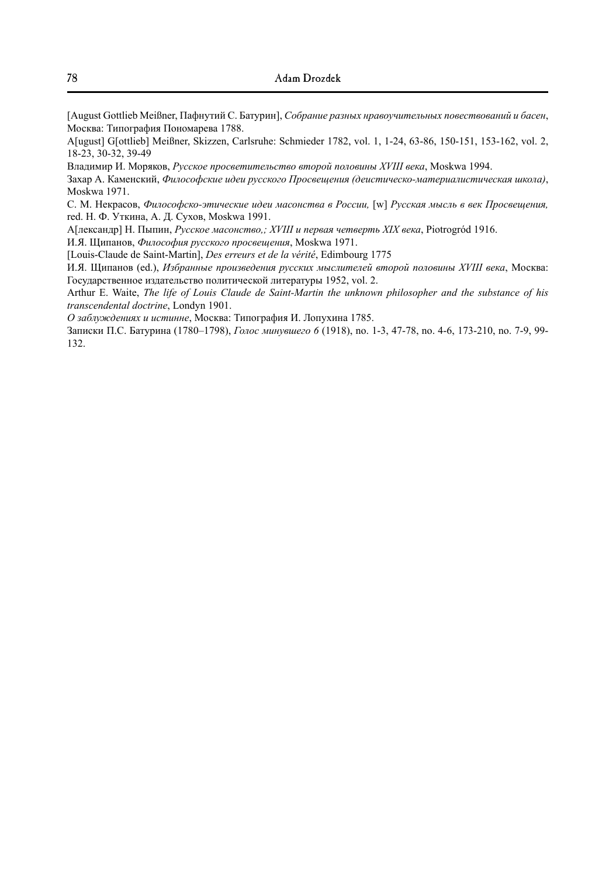[August Gottlieb Meißner, Пафнутий С. Батурин], *Собрание разных нравоучительных повествований и басен*, Москва: Типография Пономарева 1788.

A[ugust] G[ottlieb] Meißner, Skizzen, Carlsruhe: Schmieder 1782, vol. 1, 1-24, 63-86, 150-151, 153-162, vol. 2, 18-23, 30-32, 39-49

Владимир И. Моряков, *Русское просветительство второй половины XVIII века*, Moskwa 1994.

Захар А. Каменский, *Философские идеи русского Просвещения (деистическо-материалистическая школа)*, Moskwa 1971.

С. М. Некрасов, *Философско-этические идеи масонства в России,* [w] *Русская мысль в век Просвещения,*  red. Н. Ф. Уткина, А. Д. Сухов, Moskwa 1991.

А[лександр] Н. Пыпин, *Русское масонство,; XVIII и первая четверть XIX века*, Piotrogród 1916.

И.Я. Щипанов, *Философия русского просвещения*, Moskwa 1971.

[Louis-Claude de Saint-Martin], *Des erreurs et de la vérité*, Edimbourg 1775

И.Я. Щипанов (ed.), *Избранные произведения русских мыслителей второй половины XVIII века*, Москва: Государственное издательство политической литературы 1952, vol. 2.

Arthur E. Waite, *The life of Louis Claude de Saint-Martin the unknown philosopher and the substance of his transcendental doctrine*, Londyn 1901.

*О заблуждениях и истинне*, Москва: Типография И. Лопухина 1785.

Записки П.С. Батурина (1780‒1798), *Голос минувшего 6* (1918), no. 1-3, 47-78, no. 4-6, 173-210, no. 7-9, 99- 132.